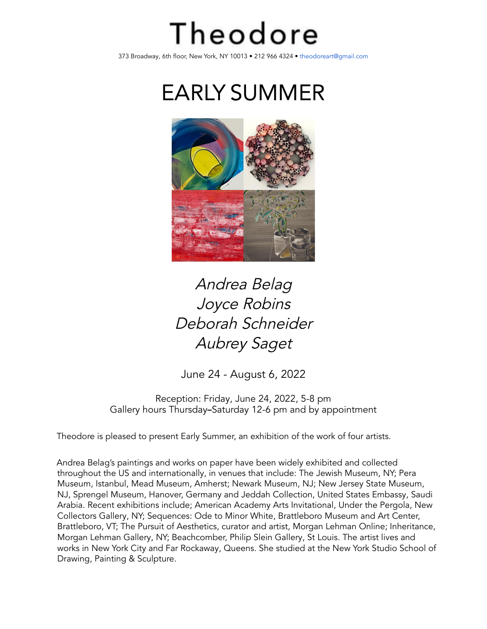## Theodore

373 Broadway, 6th floor, New York, NY 10013 • 212 966 4324 • theodoreart@gmail.com

EARLY SUMMER



## Andrea Belag Joyce Robins Deborah Schneider Aubrey Saget

June 24 - August 6, 2022

Reception: Friday, June 24, 2022, 5-8 pm Gallery hours Thursday**–**Saturday 12-6 pm and by appointment

Theodore is pleased to present Early Summer, an exhibition of the work of four artists.

Andrea Belag's paintings and works on paper have been widely exhibited and collected throughout the US and internationally, in venues that include: The Jewish Museum, NY; Pera Museum, Istanbul, Mead Museum, Amherst; Newark Museum, NJ; New Jersey State Museum, NJ, Sprengel Museum, Hanover, Germany and Jeddah Collection, United States Embassy, Saudi Arabia. Recent exhibitions include; American Academy Arts Invitational, Under the Pergola, New Collectors Gallery, NY; Sequences: Ode to Minor White, Brattleboro Museum and Art Center, Brattleboro, VT; The Pursuit of Aesthetics, curator and artist, Morgan Lehman Online; Inheritance, Morgan Lehman Gallery, NY; Beachcomber, Philip Slein Gallery, St Louis. The artist lives and works in New York City and Far Rockaway, Queens. She studied at the New York Studio School of Drawing, Painting & Sculpture.